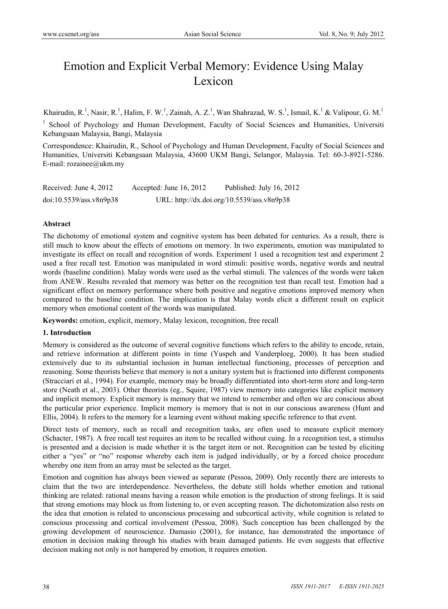# Emotion and Explicit Verbal Memory: Evidence Using Malay Lexicon

Khairudin, R.<sup>1</sup>, Nasir, R.<sup>1</sup>, Halim, F. W.<sup>1</sup>, Zainah, A. Z.<sup>1</sup>, Wan Shahrazad, W. S.<sup>1</sup>, Ismail, K.<sup>1</sup> & Valipour, G. M.<sup>1</sup>

<sup>1</sup> School of Psychology and Human Development, Faculty of Social Sciences and Humanities, Universiti Kebangsaan Malaysia, Bangi, Malaysia

Correspondence: Khairudin, R., School of Psychology and Human Development, Faculty of Social Sciences and Humanities, Universiti Kebangsaan Malaysia, 43600 UKM Bangi, Selangor, Malaysia. Tel: 60-3-8921-5286. E-mail: rozainee@ukm.my

| Received: June 4, 2012  | Accepted: June $16, 2012$ | Published: July 16, 2012                   |
|-------------------------|---------------------------|--------------------------------------------|
| doi:10.5539/ass.v8n9p38 |                           | URL: http://dx.doi.org/10.5539/ass.v8n9p38 |

### **Abstract**

The dichotomy of emotional system and cognitive system has been debated for centuries. As a result, there is still much to know about the effects of emotions on memory. In two experiments, emotion was manipulated to investigate its effect on recall and recognition of words. Experiment 1 used a recognition test and experiment 2 used a free recall test. Emotion was manipulated in word stimuli: positive words, negative words and neutral words (baseline condition). Malay words were used as the verbal stimuli. The valences of the words were taken from ANEW. Results revealed that memory was better on the recognition test than recall test. Emotion had a significant effect on memory performance where both positive and negative emotions improved memory when compared to the baseline condition. The implication is that Malay words elicit a different result on explicit memory when emotional content of the words was manipulated.

**Keywords:** emotion, explicit, memory, Malay lexicon, recognition, free recall

### **1. Introduction**

Memory is considered as the outcome of several cognitive functions which refers to the ability to encode, retain, and retrieve information at different points in time (Yuspeh and Vanderploeg, 2000). It has been studied extensively due to its substantial inclusion in human intellectual functioning, processes of perception and reasoning. Some theorists believe that memory is not a unitary system but is fractioned into different components (Stracciari et al., 1994). For example, memory may be broadly differentiated into short-term store and long-term store (Neath et al., 2003). Other theorists (eg., Squire, 1987) view memory into categories like explicit memory and implicit memory. Explicit memory is memory that we intend to remember and often we are conscious about the particular prior experience. Implicit memory is memory that is not in our conscious awareness (Hunt and Ellis, 2004). It refers to the memory for a learning event without making specific reference to that event.

Direct tests of memory, such as recall and recognition tasks, are often used to measure explicit memory (Schacter, 1987). A free recall test requires an item to be recalled without cuing. In a recognition test, a stimulus is presented and a decision is made whether it is the target item or not. Recognition can be tested by eliciting either a "yes" or "no" response whereby each item is judged individually, or by a forced choice procedure whereby one item from an array must be selected as the target.

Emotion and cognition has always been viewed as separate (Pessoa, 2009). Only recently there are interests to claim that the two are interdependence. Nevertheless, the debate still holds whether emotion and rational thinking are related: rational means having a reason while emotion is the production of strong feelings. It is said that strong emotions may block us from listening to, or even accepting reason. The dichotomization also rests on the idea that emotion is related to unconscious processing and subcortical activity, while cognition is related to conscious processing and cortical involvement (Pessoa, 2008). Such conception has been challenged by the growing development of neuroscience. Damasio (2001), for instance, has demonstrated the importance of emotion in decision making through his studies with brain damaged patients. He even suggests that effective decision making not only is not hampered by emotion, it requires emotion.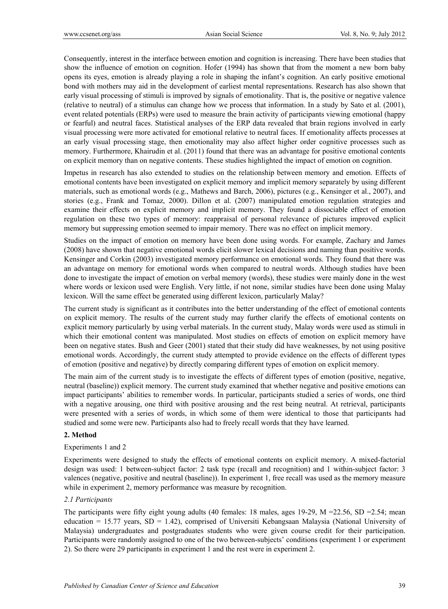Consequently, interest in the interface between emotion and cognition is increasing. There have been studies that show the influence of emotion on cognition. Hofer (1994) has shown that from the moment a new born baby opens its eyes, emotion is already playing a role in shaping the infant's cognition. An early positive emotional bond with mothers may aid in the development of earliest mental representations. Research has also shown that early visual processing of stimuli is improved by signals of emotionality. That is, the positive or negative valence (relative to neutral) of a stimulus can change how we process that information. In a study by Sato et al. (2001), event related potentials (ERPs) were used to measure the brain activity of participants viewing emotional (happy or fearful) and neutral faces. Statistical analyses of the ERP data revealed that brain regions involved in early visual processing were more activated for emotional relative to neutral faces. If emotionality affects processes at an early visual processing stage, then emotionality may also affect higher order cognitive processes such as memory. Furthermore, Khairudin et al. (2011) found that there was an advantage for positive emotional contents on explicit memory than on negative contents. These studies highlighted the impact of emotion on cognition.

Impetus in research has also extended to studies on the relationship between memory and emotion. Effects of emotional contents have been investigated on explicit memory and implicit memory separately by using different materials, such as emotional words (e.g., Mathews and Barch, 2006), pictures (e.g., Kensinger et al., 2007), and stories (e.g., Frank and Tomaz, 2000). Dillon et al. (2007) manipulated emotion regulation strategies and examine their effects on explicit memory and implicit memory. They found a dissociable effect of emotion regulation on these two types of memory: reappraisal of personal relevance of pictures improved explicit memory but suppressing emotion seemed to impair memory. There was no effect on implicit memory.

Studies on the impact of emotion on memory have been done using words. For example, Zachary and James (2008) have shown that negative emotional words elicit slower lexical decisions and naming than positive words. Kensinger and Corkin (2003) investigated memory performance on emotional words. They found that there was an advantage on memory for emotional words when compared to neutral words. Although studies have been done to investigate the impact of emotion on verbal memory (words), these studies were mainly done in the west where words or lexicon used were English. Very little, if not none, similar studies have been done using Malay lexicon. Will the same effect be generated using different lexicon, particularly Malay?

The current study is significant as it contributes into the better understanding of the effect of emotional contents on explicit memory. The results of the current study may further clarify the effects of emotional contents on explicit memory particularly by using verbal materials. In the current study, Malay words were used as stimuli in which their emotional content was manipulated. Most studies on effects of emotion on explicit memory have been on negative states. Bush and Geer (2001) stated that their study did have weaknesses, by not using positive emotional words. Accordingly, the current study attempted to provide evidence on the effects of different types of emotion (positive and negative) by directly comparing different types of emotion on explicit memory.

The main aim of the current study is to investigate the effects of different types of emotion (positive, negative, neutral (baseline)) explicit memory. The current study examined that whether negative and positive emotions can impact participants' abilities to remember words. In particular, participants studied a series of words, one third with a negative arousing, one third with positive arousing and the rest being neutral. At retrieval, participants were presented with a series of words, in which some of them were identical to those that participants had studied and some were new. Participants also had to freely recall words that they have learned.

#### **2. Method**

#### Experiments 1 and 2

Experiments were designed to study the effects of emotional contents on explicit memory. A mixed-factorial design was used: 1 between-subject factor: 2 task type (recall and recognition) and 1 within-subject factor: 3 valences (negative, positive and neutral (baseline)). In experiment 1, free recall was used as the memory measure while in experiment 2, memory performance was measure by recognition.

#### *2.1 Participants*

The participants were fifty eight young adults (40 females: 18 males, ages 19-29,  $M = 22.56$ , SD = 2.54; mean education = 15.77 years,  $SD = 1.42$ ), comprised of Universiti Kebangsaan Malaysia (National University of Malaysia) undergraduates and postgraduates students who were given course credit for their participation. Participants were randomly assigned to one of the two between-subjects' conditions (experiment 1 or experiment 2). So there were 29 participants in experiment 1 and the rest were in experiment 2.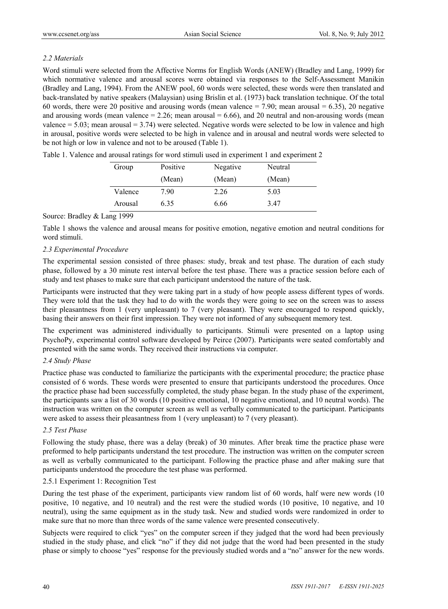# *2.2 Materials*

Word stimuli were selected from the Affective Norms for English Words (ANEW) (Bradley and Lang, 1999) for which normative valence and arousal scores were obtained via responses to the Self-Assessment Manikin (Bradley and Lang, 1994). From the ANEW pool, 60 words were selected, these words were then translated and back-translated by native speakers (Malaysian) using Brislin et al. (1973) back translation technique. Of the total 60 words, there were 20 positive and arousing words (mean valence  $= 7.90$ ; mean arousal  $= 6.35$ ), 20 negative and arousing words (mean valence  $= 2.26$ ; mean arousal  $= 6.66$ ), and 20 neutral and non-arousing words (mean valence = 5.03; mean arousal = 3.74) were selected. Negative words were selected to be low in valence and high in arousal, positive words were selected to be high in valence and in arousal and neutral words were selected to be not high or low in valence and not to be aroused (Table 1).

| Group   | Positive | Negative | Neutral |
|---------|----------|----------|---------|
|         | (Mean)   | (Mean)   | (Mean)  |
| Valence | 7.90     | 2.26     | 5.03    |
| Arousal | 6.35     | 6.66     | 347     |

Table 1. Valence and arousal ratings for word stimuli used in experiment 1 and experiment 2

## Source: Bradley & Lang 1999

Table 1 shows the valence and arousal means for positive emotion, negative emotion and neutral conditions for word stimuli.

# *2.3 Experimental Procedure*

The experimental session consisted of three phases: study, break and test phase. The duration of each study phase, followed by a 30 minute rest interval before the test phase. There was a practice session before each of study and test phases to make sure that each participant understood the nature of the task.

Participants were instructed that they were taking part in a study of how people assess different types of words. They were told that the task they had to do with the words they were going to see on the screen was to assess their pleasantness from 1 (very unpleasant) to 7 (very pleasant). They were encouraged to respond quickly, basing their answers on their first impression. They were not informed of any subsequent memory test.

The experiment was administered individually to participants. Stimuli were presented on a laptop using PsychoPy, experimental control software developed by Peirce (2007). Participants were seated comfortably and presented with the same words. They received their instructions via computer.

# *2.4 Study Phase*

Practice phase was conducted to familiarize the participants with the experimental procedure; the practice phase consisted of 6 words. These words were presented to ensure that participants understood the procedures. Once the practice phase had been successfully completed, the study phase began. In the study phase of the experiment, the participants saw a list of 30 words (10 positive emotional, 10 negative emotional, and 10 neutral words). The instruction was written on the computer screen as well as verbally communicated to the participant. Participants were asked to assess their pleasantness from 1 (very unpleasant) to 7 (very pleasant).

# *2.5 Test Phase*

Following the study phase, there was a delay (break) of 30 minutes. After break time the practice phase were preformed to help participants understand the test procedure. The instruction was written on the computer screen as well as verbally communicated to the participant. Following the practice phase and after making sure that participants understood the procedure the test phase was performed.

# 2.5.1 Experiment 1: Recognition Test

During the test phase of the experiment, participants view random list of 60 words, half were new words (10 positive, 10 negative, and 10 neutral) and the rest were the studied words (10 positive, 10 negative, and 10 neutral), using the same equipment as in the study task. New and studied words were randomized in order to make sure that no more than three words of the same valence were presented consecutively.

Subjects were required to click "yes" on the computer screen if they judged that the word had been previously studied in the study phase, and click "no" if they did not judge that the word had been presented in the study phase or simply to choose "yes" response for the previously studied words and a "no" answer for the new words.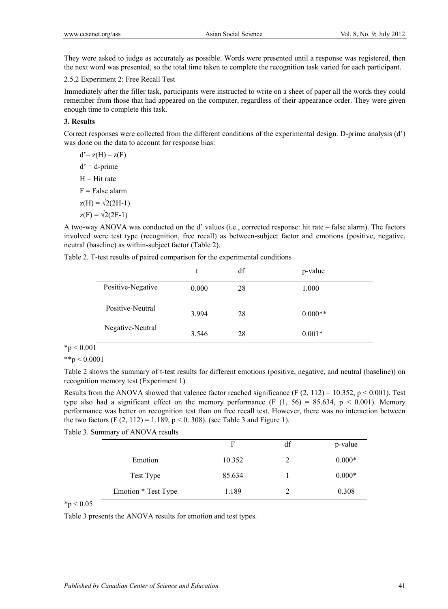They were asked to judge as accurately as possible. Words were presented until a response was registered, then the next word was presented, so the total time taken to complete the recognition task varied for each participant.

2.5.2 Experiment 2: Free Recall Test

Immediately after the filler task, participants were instructed to write on a sheet of paper all the words they could remember from those that had appeared on the computer, regardless of their appearance order. They were given enough time to complete this task.

#### **3. Results**

Correct responses were collected from the different conditions of the experimental design. D-prime analysis (d') was done on the data to account for response bias:

 $d' = z(H) - z(F)$  $d' = d$ -prime  $H = Hit$  rate  $F = False$  alarm  $z(H) = \sqrt{2(2H-1)}$  $z(F) = \sqrt{2(2F-1)}$ 

A two-way ANOVA was conducted on the d' values (i.e., corrected response: hit rate – false alarm). The factors involved were test type (recognition, free recall) as between-subject factor and emotions (positive, negative, neutral (baseline) as within-subject factor (Table 2).

|  |  |  | Table 2. T-test results of paired comparison for the experimental conditions |  |
|--|--|--|------------------------------------------------------------------------------|--|
|  |  |  |                                                                              |  |

|                   |       | df | p-value   |  |
|-------------------|-------|----|-----------|--|
| Positive-Negative | 0.000 | 28 | 1.000     |  |
| Positive-Neutral  | 3.994 | 28 | $0.000**$ |  |
| Negative-Neutral  | 3.546 | 28 | $0.001*$  |  |

# $*p < 0.001$

 $*$  $*$ p < 0.0001

Table 2 shows the summary of t-test results for different emotions (positive, negative, and neutral (baseline)) on recognition memory test (Experiment 1)

Results from the ANOVA showed that valence factor reached significance (F  $(2, 112) = 10.352$ , p < 0.001). Test type also had a significant effect on the memory performance (F  $(1, 56) = 85.634$ , p < 0.001). Memory performance was better on recognition test than on free recall test. However, there was no interaction between the two factors (F  $(2, 112) = 1.189$ , p < 0. 308). (see Table 3 and Figure 1).

Table 3. Summary of ANOVA results

|                     | F      | df | p-value  |
|---------------------|--------|----|----------|
| Emotion             | 10.352 |    | $0.000*$ |
| Test Type           | 85.634 |    | $0.000*$ |
| Emotion * Test Type | 1.189  |    | 0.308    |

 $*_{p} < 0.05$ 

Table 3 presents the ANOVA results for emotion and test types.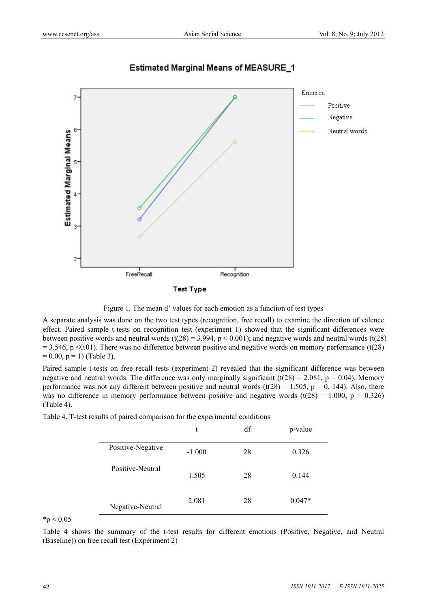

# **Estimated Marginal Means of MEASURE\_1**

**Test Type** 



A separate analysis was done on the two test types (recognition, free recall) to examine the direction of valence effect. Paired sample t-tests on recognition test (experiment 1) showed that the significant differences were between positive words and neutral words  $(t(28) = 3.994, p < 0.001)$ ; and negative words and neutral words  $(t(28)$  $= 3.546$ , p <0.01). There was no difference between positive and negative words on memory performance (t(28)  $= 0.00$ ,  $p = 1$ ) (Table 3).

Paired sample t-tests on free recall tests (experiment 2) revealed that the significant difference was between negative and neutral words. The difference was only marginally significant  $(t(28) = 2.081, p = 0.04)$ . Memory performance was not any different between positive and neutral words (t( $28$ ) = 1.505, p = 0. 144). Also, there was no difference in memory performance between positive and negative words  $(t(28) = 1.000, p = 0.326)$ (Table 4).

|                   | л.<br>t  | df | p-value  |
|-------------------|----------|----|----------|
| Positive-Negative | $-1.000$ | 28 | 0.326    |
| Positive-Neutral  | 1.505    | 28 | 0.144    |
| Negative-Neutral  | 2.081    | 28 | $0.047*$ |

Table 4. T-test results of paired comparison for the experimental conditions

 $*_{p} < 0.05$ 

Table 4 shows the summary of the t-test results for different emotions (Positive, Negative, and Neutral (Baseline)) on free recall test (Experiment 2)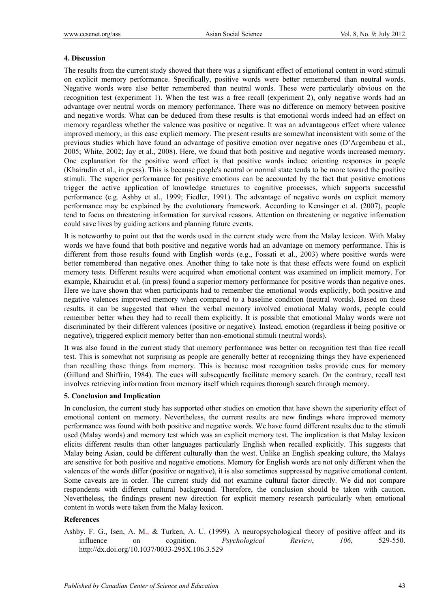#### **4. Discussion**

The results from the current study showed that there was a significant effect of emotional content in word stimuli on explicit memory performance. Specifically, positive words were better remembered than neutral words. Negative words were also better remembered than neutral words. These were particularly obvious on the recognition test (experiment 1). When the test was a free recall (experiment 2), only negative words had an advantage over neutral words on memory performance. There was no difference on memory between positive and negative words. What can be deduced from these results is that emotional words indeed had an effect on memory regardless whether the valence was positive or negative. It was an advantageous effect where valence improved memory, in this case explicit memory. The present results are somewhat inconsistent with some of the previous studies which have found an advantage of positive emotion over negative ones (D'Argembeau et al., 2005; White, 2002; Jay et al., 2008). Here, we found that both positive and negative words increased memory. One explanation for the positive word effect is that positive words induce orienting responses in people (Khairudin et al., in press). This is because people's neutral or normal state tends to be more toward the positive stimuli. The superior performance for positive emotions can be accounted by the fact that positive emotions trigger the active application of knowledge structures to cognitive processes, which supports successful performance (e.g. Ashby et al., 1999; Fiedler, 1991). The advantage of negative words on explicit memory performance may be explained by the evolutionary framework. According to Kensinger et al. (2007), people tend to focus on threatening information for survival reasons. Attention on threatening or negative information could save lives by guiding actions and planning future events.

It is noteworthy to point out that the words used in the current study were from the Malay lexicon. With Malay words we have found that both positive and negative words had an advantage on memory performance. This is different from those results found with English words (e.g., Fossati et al., 2003) where positive words were better remembered than negative ones. Another thing to take note is that these effects were found on explicit memory tests. Different results were acquired when emotional content was examined on implicit memory. For example, Khairudin et al. (in press) found a superior memory performance for positive words than negative ones. Here we have shown that when participants had to remember the emotional words explicitly, both positive and negative valences improved memory when compared to a baseline condition (neutral words). Based on these results, it can be suggested that when the verbal memory involved emotional Malay words, people could remember better when they had to recall them explicitly. It is possible that emotional Malay words were not discriminated by their different valences (positive or negative). Instead, emotion (regardless it being positive or negative), triggered explicit memory better than non-emotional stimuli (neutral words).

It was also found in the current study that memory performance was better on recognition test than free recall test. This is somewhat not surprising as people are generally better at recognizing things they have experienced than recalling those things from memory. This is because most recognition tasks provide cues for memory (Gillund and Shiffrin, 1984). The cues will subsequently facilitate memory search. On the contrary, recall test involves retrieving information from memory itself which requires thorough search through memory.

#### **5. Conclusion and Implication**

In conclusion, the current study has supported other studies on emotion that have shown the superiority effect of emotional content on memory. Nevertheless, the current results are new findings where improved memory performance was found with both positive and negative words. We have found different results due to the stimuli used (Malay words) and memory test which was an explicit memory test. The implication is that Malay lexicon elicits different results than other languages particularly English when recalled explicitly. This suggests that Malay being Asian, could be different culturally than the west. Unlike an English speaking culture, the Malays are sensitive for both positive and negative emotions. Memory for English words are not only different when the valences of the words differ (positive or negative), it is also sometimes suppressed by negative emotional content. Some caveats are in order. The current study did not examine cultural factor directly. We did not compare respondents with different cultural background. Therefore, the conclusion should be taken with caution. Nevertheless, the findings present new direction for explicit memory research particularly when emotional content in words were taken from the Malay lexicon.

#### **References**

Ashby, F. G., Isen, A. M., & Turken, A. U. (1999). A neuropsychological theory of positive affect and its influence on cognition. *Psychological Review*, *106*, 529-550. http://dx.doi.org/10.1037/0033-295X.106.3.529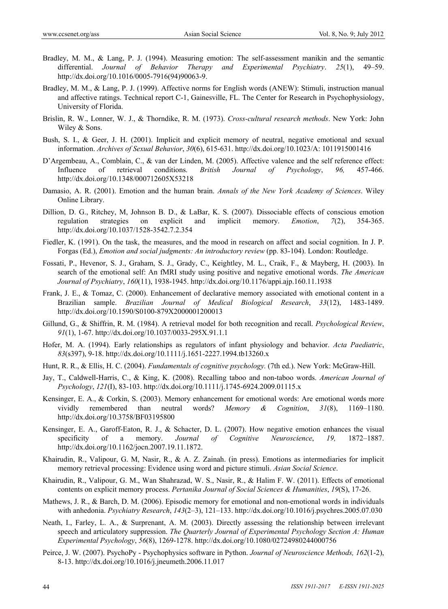- Bradley, M. M., & Lang, P. J. (1994). Measuring emotion: The self-assessment manikin and the semantic differential. *Journal of Behavior Therapy and Experimental Psychiatry*. *25*(1), 49–59. http://dx.doi.org/10.1016/0005-7916(94)90063-9.
- Bradley, M. M., & Lang, P. J. (1999). Affective norms for English words (ANEW): Stimuli, instruction manual and affective ratings. Technical report C-1, Gainesville, FL. The Center for Research in Psychophysiology, University of Florida.
- Brislin, R. W., Lonner, W. J., & Thorndike, R. M. (1973). *Cross-cultural research methods*. New York: John Wiley & Sons.
- Bush, S. I., & Geer, J. H. (2001). Implicit and explicit memory of neutral, negative emotional and sexual information. *Archives of Sexual Behavior*, *30*(6), 615-631. http://dx.doi.org/10.1023/A: 1011915001416
- D'Argembeau, A., Comblain, C., & van der Linden, M. (2005). Affective valence and the self reference effect: Influence of retrieval conditions. *British Journal of Psychology*, *96,* 457-466. http://dx.doi.org/10.1348/000712605X53218
- Damasio, A. R. (2001). Emotion and the human brain. *Annals of the New York Academy of Sciences*. Wiley Online Library.
- Dillion, D. G., Ritchey, M, Johnson B. D., & LaBar, K. S. (2007). Dissociable effects of conscious emotion regulation strategies on explicit and implicit memory. *Emotion*, *7*(2), 354-365. http://dx.doi.org/10.1037/1528-3542.7.2.354
- Fiedler, K. (1991). On the task, the measures, and the mood in research on affect and social cognition. In J. P. Forgas (Ed.), *Emotion and social judgments: An introductory review* (pp. 83-104). London: Routledge.
- Fossati, P., Hevenor, S. J., Graham, S. J., Grady, C., Keightley, M. L., Craik, F., & Mayberg, H. (2003). In search of the emotional self: An fMRI study using positive and negative emotional words. *The American Journal of Psychiatry*, *160*(11), 1938-1945. http://dx.doi.org/10.1176/appi.ajp.160.11.1938
- Frank, J. E., & Tomaz, C. (2000). Enhancement of declarative memory associated with emotional content in a Brazilian sample. *Brazilian Journal of Medical Biological Research*, *33*(12), 1483-1489. http://dx.doi.org/10.1590/S0100-879X2000001200013
- Gillund, G., & Shiffrin, R. M. (1984). A retrieval model for both recognition and recall. *Psychological Review*, *91*(1), 1-67. http://dx.doi.org/10.1037/0033-295X.91.1.1
- Hofer, M. A. (1994). Early relationships as regulators of infant physiology and behavior. *Acta Paediatric*, *83*(s397), 9-18. http://dx.doi.org/10.1111/j.1651-2227.1994.tb13260.x
- Hunt, R. R., & Ellis, H. C. (2004). *Fundamentals of cognitive psychology.* (7th ed.). New York: McGraw-Hill.
- Jay, T., Caldwell-Harris, C., & King, K. (2008). Recalling taboo and non-taboo words. *American Journal of Psychology*, *121*(I), 83-103. http://dx.doi.org/10.1111/j.1745-6924.2009.01115.x
- Kensinger, E. A., & Corkin, S. (2003). Memory enhancement for emotional words: Are emotional words more vividly remembered than neutral words? *Memory & Cognition*, *31*(8), 1169–1180. http://dx.doi.org/10.3758/BF03195800
- Kensinger, E. A., Garoff-Eaton, R. J., & Schacter, D. L. (2007). How negative emotion enhances the visual specificity of a memory. *Journal of Cognitive Neuroscience*, *19,* 1872–1887. http://dx.doi.org/10.1162/jocn.2007.19.11.1872.
- Khairudin, R., Valipour, G. M, Nasir, R., & A. Z. Zainah. (in press). Emotions as intermediaries for implicit memory retrieval processing: Evidence using word and picture stimuli. *Asian Social Science*.
- Khairudin, R., Valipour, G. M., Wan Shahrazad, W. S., Nasir, R., & Halim F. W. (2011). Effects of emotional contents on explicit memory process. *Pertanika Journal of Social Sciences & Humanities*, *19*(S), 17-26.
- Mathews, J. R., & Barch, D. M. (2006). Episodic memory for emotional and non-emotional words in individuals with anhedonia. *Psychiatry Research*, *143*(2–3), 121–133. http://dx.doi.org/10.1016/j.psychres.2005.07.030
- Neath, I., Farley, L. A., & Surprenant, A. M. (2003). Directly assessing the relationship between irrelevant speech and articulatory suppression. *The Quarterly Journal of Experimental Psychology Section A: Human Experimental Psychology*, *56*(8), 1269-1278. http://dx.doi.org/10.1080/02724980244000756
- Peirce, J. W. (2007). PsychoPy Psychophysics software in Python. *Journal of Neuroscience Methods, 162*(1-2), 8-13. http://dx.doi.org/10.1016/j.jneumeth.2006.11.017